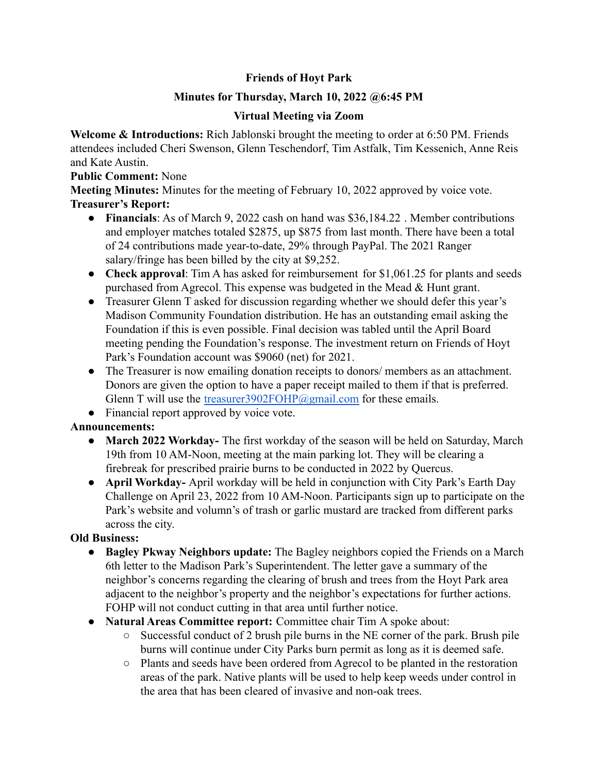# **Friends of Hoyt Park**

### **Minutes for Thursday, March 10, 2022 @6:45 PM**

### **Virtual Meeting via Zoom**

**Welcome & Introductions:** Rich Jablonski brought the meeting to order at 6:50 PM. Friends attendees included Cheri Swenson, Glenn Teschendorf, Tim Astfalk, Tim Kessenich, Anne Reis and Kate Austin.

#### **Public Comment:** None

**Meeting Minutes:** Minutes for the meeting of February 10, 2022 approved by voice vote. **Treasurer's Report:**

- **Financials**: As of March 9, 2022 cash on hand was \$36,184.22 . Member contributions and employer matches totaled \$2875, up \$875 from last month. There have been a total of 24 contributions made year-to-date, 29% through PayPal. The 2021 Ranger salary/fringe has been billed by the city at \$9,252.
- **Check approval**: Tim A has asked for reimbursement for \$1,061.25 for plants and seeds purchased from Agrecol. This expense was budgeted in the Mead & Hunt grant.
- Treasurer Glenn T asked for discussion regarding whether we should defer this year's Madison Community Foundation distribution. He has an outstanding email asking the Foundation if this is even possible. Final decision was tabled until the April Board meeting pending the Foundation's response. The investment return on Friends of Hoyt Park's Foundation account was \$9060 (net) for 2021.
- The Treasurer is now emailing donation receipts to donors/ members as an attachment. Donors are given the option to have a paper receipt mailed to them if that is preferred. Glenn T will use the treasurer3902FOHP@gmail.com for these emails.
- Financial report approved by voice vote.

## **Announcements:**

- **● March 2022 Workday-** The first workday of the season will be held on Saturday, March 19th from 10 AM-Noon, meeting at the main parking lot. They will be clearing a firebreak for prescribed prairie burns to be conducted in 2022 by Quercus.
- **● April Workday-** April workday will be held in conjunction with City Park's Earth Day Challenge on April 23, 2022 from 10 AM-Noon. Participants sign up to participate on the Park's website and volumn's of trash or garlic mustard are tracked from different parks across the city.

## **Old Business:**

- **● Bagley Pkway Neighbors update:** The Bagley neighbors copied the Friends on a March 6th letter to the Madison Park's Superintendent. The letter gave a summary of the neighbor's concerns regarding the clearing of brush and trees from the Hoyt Park area adjacent to the neighbor's property and the neighbor's expectations for further actions. FOHP will not conduct cutting in that area until further notice.
- **● Natural Areas Committee report:** Committee chair Tim A spoke about:
	- **○** Successful conduct of 2 brush pile burns in the NE corner of the park. Brush pile burns will continue under City Parks burn permit as long as it is deemed safe.
	- **○** Plants and seeds have been ordered from Agrecol to be planted in the restoration areas of the park. Native plants will be used to help keep weeds under control in the area that has been cleared of invasive and non-oak trees.